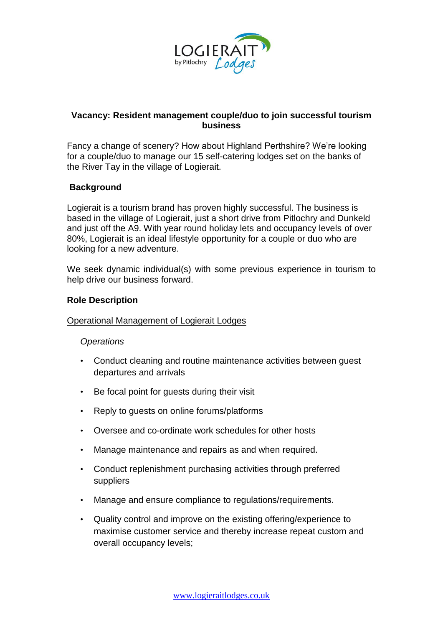

# **Vacancy: Resident management couple/duo to join successful tourism business**

Fancy a change of scenery? How about Highland Perthshire? We're looking for a couple/duo to manage our 15 self-catering lodges set on the banks of the River Tay in the village of Logierait.

## **Background**

Logierait is a tourism brand has proven highly successful. The business is based in the village of Logierait, just a short drive from Pitlochry and Dunkeld and just off the A9. With year round holiday lets and occupancy levels of over 80%, Logierait is an ideal lifestyle opportunity for a couple or duo who are looking for a new adventure.

We seek dynamic individual(s) with some previous experience in tourism to help drive our business forward.

## **Role Description**

## Operational Management of Logierait Lodges

## *Operations*

- Conduct cleaning and routine maintenance activities between guest departures and arrivals
- Be focal point for guests during their visit
- Reply to guests on online forums/platforms
- Oversee and co-ordinate work schedules for other hosts
- Manage maintenance and repairs as and when required.
- Conduct replenishment purchasing activities through preferred suppliers
- Manage and ensure compliance to regulations/requirements.
- Quality control and improve on the existing offering/experience to maximise customer service and thereby increase repeat custom and overall occupancy levels;